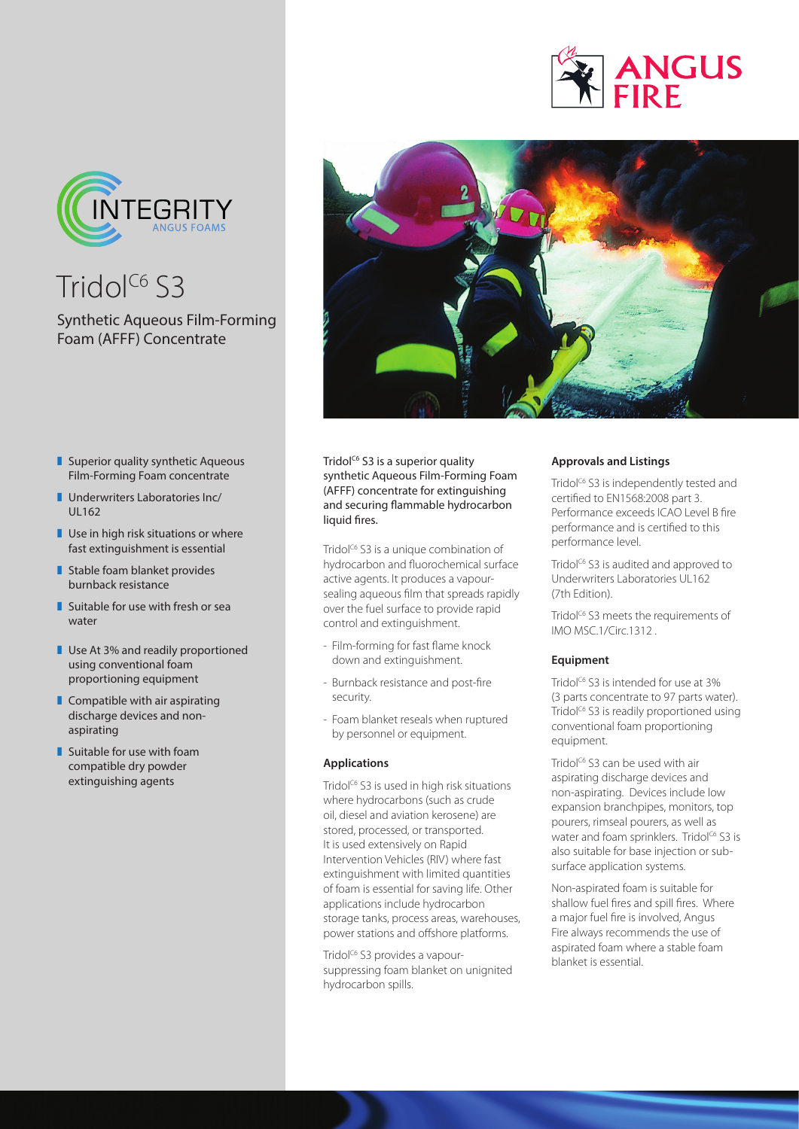



Tridol $^{C6}$  S3

# Synthetic Aqueous Film-Forming Foam (AFFF) Concentrate

- 
- $\blacksquare$  Superior quality synthetic Aqueous Film-Forming Foam concentrate
- $\blacksquare$  Underwriters Laboratories Inc/ UL162
- $\blacksquare$  Use in high risk situations or where fast extinguishment is essential
- $\blacksquare$  Stable foam blanket provides burnback resistance
- $\blacksquare$  Suitable for use with fresh or sea water
- **Use At 3% and readily proportioned** using conventional foam proportioning equipment
- $\blacksquare$  Compatible with air aspirating discharge devices and nonaspirating
- $\blacksquare$  Suitable for use with foam compatible dry powder extinguishing agents

Tridol<sup>c6</sup> S3 is a superior quality synthetic Aqueous Film-Forming Foam (AFFF) concentrate for extinguishing and securing flammable hydrocarbon liquid fires.

Tridol<sup>c6</sup> S3 is a unique combination of hydrocarbon and fluorochemical surface active agents. It produces a vapoursealing aqueous film that spreads rapidly over the fuel surface to provide rapid control and extinguishment.

- Film-forming for fast flame knock down and extinguishment.
- Burnback resistance and post-fire security.
- Foam blanket reseals when ruptured by personnel or equipment.

## **Applications**

Tridol<sup>c6</sup> S3 is used in high risk situations where hydrocarbons (such as crude oil, diesel and aviation kerosene) are stored, processed, or transported. It is used extensively on Rapid Intervention Vehicles (RIV) where fast extinguishment with limited quantities of foam is essential for saving life. Other applications include hydrocarbon storage tanks, process areas, warehouses, power stations and offshore platforms.

Tridol<sup>c6</sup> S3 provides a vapoursuppressing foam blanket on unignited hydrocarbon spills.

## **Approvals and Listings**

Tridol<sup>c6</sup> S3 is independently tested and certified to EN1568:2008 part 3. Performance exceeds ICAO Level B fire performance and is certified to this performance level.

Tridol<sup>C6</sup> S3 is audited and approved to Underwriters Laboratories UL162 (7th Edition).

Tridol<sup>c6</sup> S3 meets the requirements of IMO MSC.1/Circ.1312 .

#### **Equipment**

Tridol<sup>c6</sup> S3 is intended for use at 3% (3 parts concentrate to 97 parts water). Tridol<sup>c6</sup> S3 is readily proportioned using conventional foam proportioning equipment.

Tridol<sup>c6</sup> S3 can be used with air aspirating discharge devices and non-aspirating. Devices include low expansion branchpipes, monitors, top pourers, rimseal pourers, as well as water and foam sprinklers. Tridol<sup>c6</sup> S3 is also suitable for base injection or subsurface application systems.

Non-aspirated foam is suitable for shallow fuel fires and spill fires. Where a major fuel fire is involved, Angus Fire always recommends the use of aspirated foam where a stable foam blanket is essential.